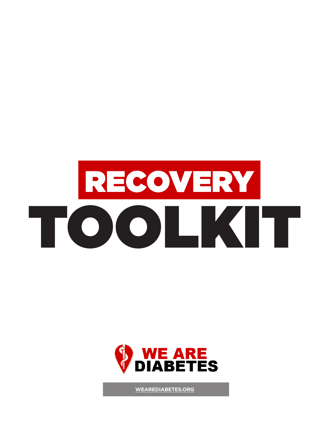



**[WEAREDIABETES.ORG](http://WeAreDiabetes.org)**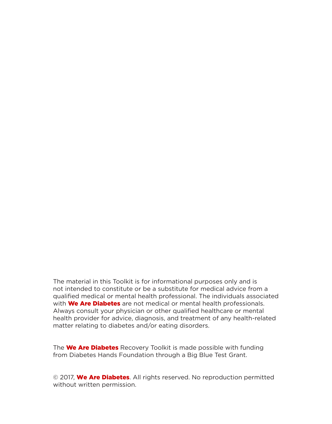The material in this Toolkit is for informational purposes only and is not intended to constitute or be a substitute for medical advice from a qualified medical or mental health professional. The individuals associated with **We Are Diabetes** are not medical or mental health professionals. Always consult your physician or other qualified healthcare or mental health provider for advice, diagnosis, and treatment of any health-related matter relating to diabetes and/or eating disorders.

The **We Are Diabetes** Recovery Toolkit is made possible with funding from Diabetes Hands Foundation through a Big Blue Test Grant.

© 2017, We Are Diabetes. All rights reserved. No reproduction permitted without written permission.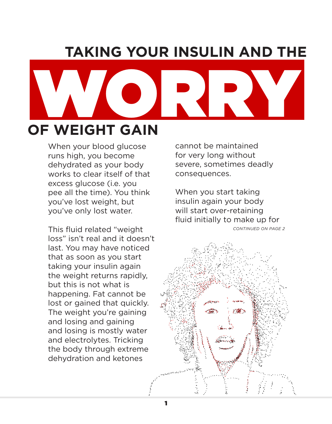# **TAKING YOUR INSULIN AND THE**



1

When your blood glucose runs high, you become dehydrated as your body works to clear itself of that excess glucose (i.e. you pee all the time). You think you've lost weight, but you've only lost water.

This fluid related "weight loss" isn't real and it doesn't last. You may have noticed that as soon as you start taking your insulin again the weight returns rapidly, but this is not what is happening. Fat cannot be lost or gained that quickly. The weight you're gaining and losing and gaining and losing is mostly water and electrolytes. Tricking the body through extreme dehydration and ketones

cannot be maintained for very long without severe, sometimes deadly consequences.

When you start taking insulin again your body will start over-retaining fluid initially to make up for

738)

*CONTINUED ON PAGE 2*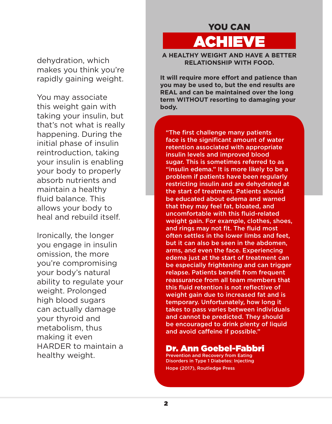dehydration, which makes you think you're rapidly gaining weight.

You may associate this weight gain with taking your insulin, but that's not what is really happening. During the initial phase of insulin reintroduction, taking your insulin is enabling your body to properly absorb nutrients and maintain a healthy fluid balance. This allows your body to heal and rebuild itself.

Ironically, the longer you engage in insulin omission, the more you're compromising your body's natural ability to regulate your weight. Prolonged high blood sugars can actually damage your thyroid and metabolism, thus making it even HARDER to maintain a healthy weight.

# YOU CAN

ACHIEVE

**A HEALTHY WEIGHT AND HAVE A BETTER RELATIONSHIP WITH FOOD.**

**It will require more effort and patience than you may be used to, but the end results are REAL and can be maintained over the long term WITHOUT resorting to damaging your body.**

"The first challenge many patients face is the significant amount of water retention associated with appropriate insulin levels and improved blood sugar. This is sometimes referred to as "insulin edema." It is more likely to be a problem if patients have been regularly restricting insulin and are dehydrated at the start of treatment. Patients should be educated about edema and warned that they may feel fat, bloated, and uncomfortable with this fluid-related weight gain. For example, clothes, shoes, and rings may not fit. The fluid most often settles in the lower limbs and feet, but it can also be seen in the abdomen, arms, and even the face. Experiencing edema just at the start of treatment can be especially frightening and can trigger relapse. Patients benefit from frequent reassurance from all team members that this fluid retention is not reflective of weight gain due to increased fat and is temporary. Unfortunately, how long it takes to pass varies between individuals and cannot be predicted. They should be encouraged to drink plenty of liquid and avoid caffeine if possible."

## Dr. Ann Goebel-Fabbri

Prevention and Recovery from Eating Disorders in Type 1 Diabetes: Injecting Hope (2017), Routledge Press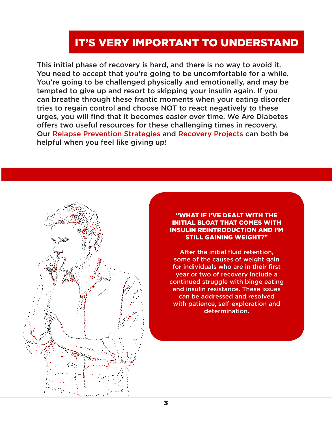# IT'S VERY IMPORTANT TO UNDERSTAND

This initial phase of recovery is hard, and there is no way to avoid it. You need to accept that you're going to be uncomfortable for a while. You're going to be challenged physically and emotionally, and may be tempted to give up and resort to skipping your insulin again. If you can breathe through these frantic moments when your eating disorder tries to regain control and choose NOT to react negatively to these urges, you will find that it becomes easier over time. We Are Diabetes offers two useful resources for these challenging times in recovery. Our [Relapse Prevention Strategies](http://www.wearediabetes.org/relapse_prevention.php) and [Recovery Projects](http://www.wearediabetes.org/files/recovery_projects.pdf) can both be helpful when you feel like giving up!



"WHAT IF I'VE DEALT WITH THE INITIAL BLOAT THAT COMES WITH INSULIN REINTRODUCTION AND I'M STILL GAINING WEIGHT?"

After the initial fluid retention, some of the causes of weight gain for individuals who are in their first year or two of recovery include a continued struggle with binge eating and insulin resistance. These issues can be addressed and resolved with patience, self-exploration and determination.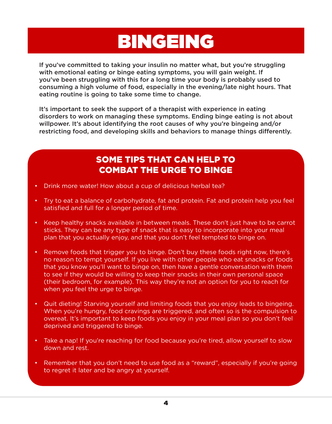# BINGEING

If you've committed to taking your insulin no matter what, but you're struggling with emotional eating or binge eating symptoms, you will gain weight. If you've been struggling with this for a long time your body is probably used to consuming a high volume of food, especially in the evening/late night hours. That eating routine is going to take some time to change.

It's important to seek the support of a therapist with experience in eating disorders to work on managing these symptoms. Ending binge eating is not about willpower. It's about identifying the root causes of why you're bingeing and/or restricting food, and developing skills and behaviors to manage things differently.

# SOME TIPS THAT CAN HELP TO COMBAT THE URGE TO BINGE

- Drink more water! How about a cup of delicious herbal tea?
- Try to eat a balance of carbohydrate, fat and protein. Fat and protein help you feel satisfied and full for a longer period of time.
- Keep healthy snacks available in between meals. These don't just have to be carrot sticks. They can be any type of snack that is easy to incorporate into your meal plan that you actually enjoy, and that you don't feel tempted to binge on.
- Remove foods that trigger you to binge. Don't buy these foods right now, there's no reason to tempt yourself. If you live with other people who eat snacks or foods that you know you'll want to binge on, then have a gentle conversation with them to see if they would be willing to keep their snacks in their own personal space (their bedroom, for example). This way they're not an option for you to reach for when you feel the urge to binge.
- Quit dieting! Starving yourself and limiting foods that you enjoy leads to bingeing. When you're hungry, food cravings are triggered, and often so is the compulsion to overeat. It's important to keep foods you enjoy in your meal plan so you don't feel deprived and triggered to binge.
- Take a nap! If you're reaching for food because you're tired, allow yourself to slow down and rest.
- Remember that you don't need to use food as a "reward", especially if you're going to regret it later and be angry at yourself.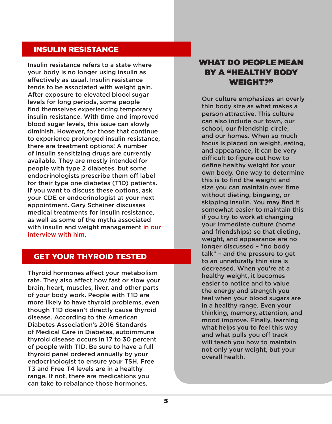## INSULIN RESISTANCE

Insulin resistance refers to a state where your body is no longer using insulin as effectively as usual. Insulin resistance tends to be associated with weight gain. After exposure to elevated blood sugar levels for long periods, some people find themselves experiencing temporary insulin resistance. With time and improved blood sugar levels, this issue can slowly diminish. However, for those that continue to experience prolonged insulin resistance, there are treatment options! A number of insulin sensitizing drugs are currently available. They are mostly intended for people with type 2 diabetes, but some endocrinologists prescribe them off label for their type one diabetes (T1D) patients. If you want to discuss these options, ask your CDE or endocrinologist at your next appointment. Gary Scheiner discusses medical treatments for insulin resistance, as well as some of the myths associated with insulin and weight management in our [interview with him](http://www.wearediabetes.org/recoverytoolkit/#gary).

## GET YOUR THYROID TESTED

Thyroid hormones affect your metabolism rate. They also affect how fast or slow your brain, heart, muscles, liver, and other parts of your body work. People with T1D are more likely to have thyroid problems, even though T1D doesn't directly cause thyroid disease. According to the American Diabetes Association's 2016 Standards of Medical Care in Diabetes, autoimmune thyroid disease occurs in 17 to 30 percent of people with T1D. Be sure to have a full thyroid panel ordered annually by your endocrinologist to ensure your TSH, Free T3 and Free T4 levels are in a healthy range. If not, there are medications you can take to rebalance those hormones.

## WHAT DO PEOPLE MEAN BY A "HEALTHY BODY WEIGHT?"

Our culture emphasizes an overly thin body size as what makes a person attractive. This culture can also include our town, our school, our friendship circle, and our homes. When so much focus is placed on weight, eating, and appearance, it can be very difficult to figure out how to define healthy weight for your own body. One way to determine this is to find the weight and size you can maintain over time without dieting, bingeing, or skipping insulin. You may find it somewhat easier to maintain this if you try to work at changing your immediate culture (home and friendships) so that dieting, weight, and appearance are no longer discussed – "no body talk" – and the pressure to get to an unnaturally thin size is decreased. When you're at a healthy weight, it becomes easier to notice and to value the energy and strength you feel when your blood sugars are in a healthy range. Even your thinking, memory, attention, and mood improve. Finally, learning what helps you to feel this way and what pulls you off track will teach you how to maintain not only your weight, but your overall health.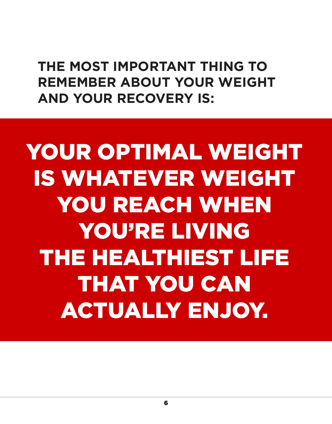**THE MOST IMPORTANT THING TO REMEMBER ABOUT YOUR WEIGHT AND YOUR RECOVERY IS:**

YOUR OPTIMAL WEIGHT IS WHATEVER WEIGHT YOU REACH WHEN YOU'RE LIVING THE HEALTHIEST LIFE THAT YOU CAN ACTUALLY ENJOY.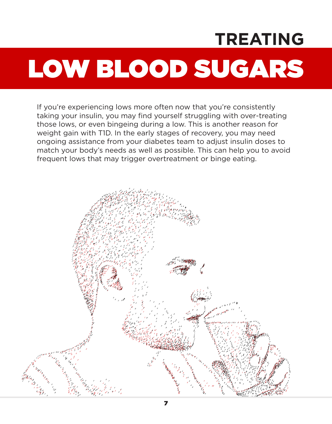# LOW BLOOD SUGARS **TREATING**

If you're experiencing lows more often now that you're consistently taking your insulin, you may find yourself struggling with over-treating those lows, or even bingeing during a low. This is another reason for weight gain with T1D. In the early stages of recovery, you may need ongoing assistance from your diabetes team to adjust insulin doses to match your body's needs as well as possible. This can help you to avoid frequent lows that may trigger overtreatment or binge eating.

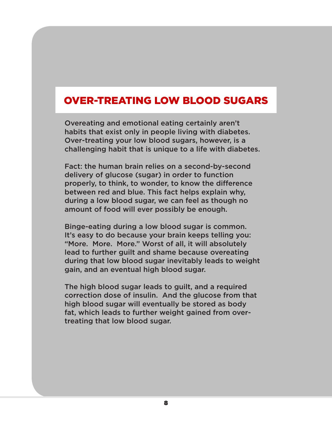# OVER-TREATING LOW BLOOD SUGARS

Overeating and emotional eating certainly aren't habits that exist only in people living with diabetes. Over-treating your low blood sugars, however, is a challenging habit that is unique to a life with diabetes.

Fact: the human brain relies on a second-by-second delivery of glucose (sugar) in order to function properly, to think, to wonder, to know the difference between red and blue. This fact helps explain why, during a low blood sugar, we can feel as though no amount of food will ever possibly be enough.

Binge-eating during a low blood sugar is common. It's easy to do because your brain keeps telling you: "More. More. More." Worst of all, it will absolutely lead to further guilt and shame because overeating during that low blood sugar inevitably leads to weight gain, and an eventual high blood sugar.

The high blood sugar leads to guilt, and a required correction dose of insulin. And the glucose from that high blood sugar will eventually be stored as body fat, which leads to further weight gained from overtreating that low blood sugar.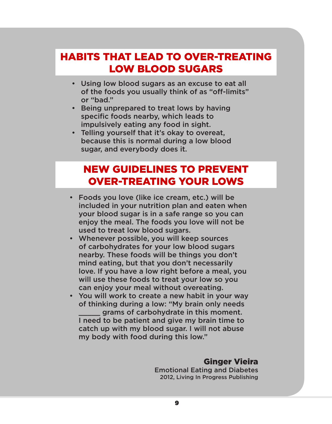# HABITS THAT LEAD TO OVER-TREATING LOW BLOOD SUGARS

- Using low blood sugars as an excuse to eat all of the foods you usually think of as "off-limits" or "bad."
- Being unprepared to treat lows by having specific foods nearby, which leads to impulsively eating any food in sight.
- Telling yourself that it's okay to overeat, because this is normal during a low blood sugar, and everybody does it.

# NEW GUIDELINES TO PREVENT OVER-TREATING YOUR LOWS

- Foods you love (like ice cream, etc.) will be included in your nutrition plan and eaten when your blood sugar is in a safe range so you can enjoy the meal. The foods you love will not be used to treat low blood sugars.
- Whenever possible, you will keep sources of carbohydrates for your low blood sugars nearby. These foods will be things you don't mind eating, but that you don't necessarily love. If you have a low right before a meal, you will use these foods to treat your low so you can enjoy your meal without overeating.
- You will work to create a new habit in your way of thinking during a low: "My brain only needs grams of carbohydrate in this moment. I need to be patient and give my brain time to catch up with my blood sugar. I will not abuse my body with food during this low."

## Ginger Vieira

Emotional Eating and Diabetes 2012, Living In Progress Publishing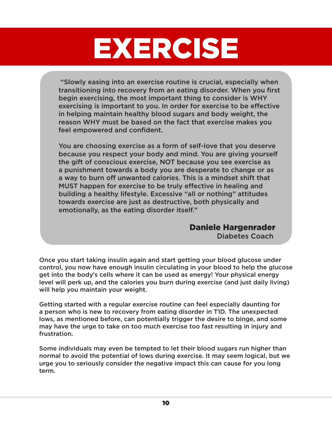# EXERCISE

"Slowly easing into an exercise routine is crucial, especially when transitioning into recovery from an eating disorder. When you first begin exercising, the most important thing to consider is WHY exercising is important to you. In order for exercise to be effective in helping maintain healthy blood sugars and body weight, the reason WHY must be based on the fact that exercise makes you feel empowered and confident.

You are choosing exercise as a form of self-love that you deserve because you respect your body and mind. You are giving yourself the gift of conscious exercise, NOT because you see exercise as a punishment towards a body you are desperate to change or as a way to burn off unwanted calories. This is a mindset shift that MUST happen for exercise to be truly effective in healing and building a healthy lifestyle. Excessive "all or nothing" attitudes towards exercise are just as destructive, both physically and emotionally, as the eating disorder itself."

# Daniele Hargenrader

Diabetes Coach

Once you start taking insulin again and start getting your blood glucose under control, you now have enough insulin circulating in your blood to help the glucose get into the body's cells where it can be used as energy! Your physical energy level will perk up, and the calories you burn during exercise (and just daily living) will help you maintain your weight.

Getting started with a regular exercise routine can feel especially daunting for a person who is new to recovery from eating disorder in T1D. The unexpected lows, as mentioned before, can potentially trigger the desire to binge, and some may have the urge to take on too much exercise too fast resulting in injury and frustration.

Some individuals may even be tempted to let their blood sugars run higher than normal to avoid the potential of lows during exercise. It may seem logical, but we urge you to seriously consider the negative impact this can cause for you long term.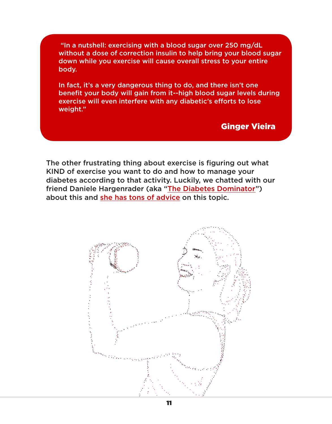"In a nutshell: exercising with a blood sugar over 250 mg/dL without a dose of correction insulin to help bring your blood sugar down while you exercise will cause overall stress to your entire body.

In fact, it's a very dangerous thing to do, and there isn't one benefit your body will gain from it--high blood sugar levels during exercise will even interfere with any diabetic's efforts to lose weight."

## Ginger Vieira

The other frustrating thing about exercise is figuring out what KIND of exercise you want to do and how to manage your diabetes according to that activity. Luckily, we chatted with our friend Daniele Hargenrader (aka "[The Diabetes Dominator"](http://diabetesdominator.com/)) about this and [she has tons of advice](http://www.wearediabetes.org/recoverytoolkit/#daniele) on this topic.

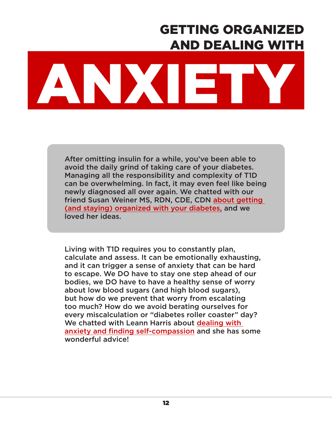# GETTING ORGANIZED AND DEALING WITH

# ANXIETY

After omitting insulin for a while, you've been able to avoid the daily grind of taking care of your diabetes. Managing all the responsibility and complexity of T1D can be overwhelming. In fact, it may even feel like being newly diagnosed all over again. We chatted with our friend Susan Weiner MS, RDN, CDE, CDN [about getting](http://www.wearediabetes.org/recoverytoolkit/#susan)  [\(and staying\) organized with your diabetes,](http://www.wearediabetes.org/recoverytoolkit/#susan) and we loved her ideas.

Living with T1D requires you to constantly plan, calculate and assess. It can be emotionally exhausting, and it can trigger a sense of anxiety that can be hard to escape. We DO have to stay one step ahead of our bodies, we DO have to have a healthy sense of worry about low blood sugars (and high blood sugars), but how do we prevent that worry from escalating too much? How do we avoid berating ourselves for every miscalculation or "diabetes roller coaster" day? We chatted with Leann Harris about [dealing with](http://www.wearediabetes.org/recoverytoolkit/#leann)  [anxiety and finding self-compassion](http://www.wearediabetes.org/recoverytoolkit/#leann) and she has some wonderful advice!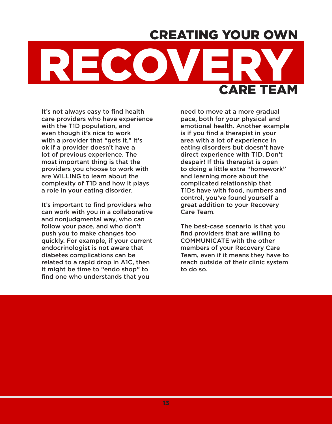# CREATING YOUR OWN



It's not always easy to find health care providers who have experience with the T1D population, and even though it's nice to work with a provider that "gets it," it's ok if a provider doesn't have a lot of previous experience. The most important thing is that the providers you choose to work with are WILLING to learn about the complexity of T1D and how it plays a role in your eating disorder.

It's important to find providers who can work with you in a collaborative and nonjudgmental way, who can follow your pace, and who don't push you to make changes too quickly. For example, if your current endocrinologist is not aware that diabetes complications can be related to a rapid drop in A1C, then it might be time to "endo shop" to find one who understands that you

need to move at a more gradual pace, both for your physical and emotional health. Another example is if you find a therapist in your area with a lot of experience in eating disorders but doesn't have direct experience with T1D. Don't despair! If this therapist is open to doing a little extra "homework" and learning more about the complicated relationship that T1Ds have with food, numbers and control, you've found yourself a great addition to your Recovery Care Team.

The best-case scenario is that you find providers that are willing to COMMUNICATE with the other members of your Recovery Care Team, even if it means they have to reach outside of their clinic system to do so.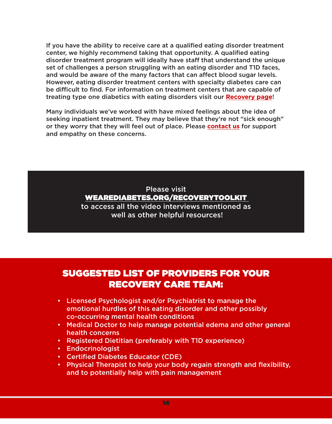If you have the ability to receive care at a qualified eating disorder treatment center, we highly recommend taking that opportunity. A qualified eating disorder treatment program will ideally have staff that understand the unique set of challenges a person struggling with an eating disorder and T1D faces, and would be aware of the many factors that can affect blood sugar levels. However, eating disorder treatment centers with specialty diabetes care can be difficult to find. For information on treatment centers that are capable of treating type one diabetics with eating disorders visit our **[Recovery page](http://www.wearediabetes.org/recovery.php)**!

Many individuals we've worked with have mixed feelings about the idea of seeking inpatient treatment. They may believe that they're not "sick enough" or they worry that they will feel out of place. Please **[contact us](http://www.wearediabetes.org/contact.php)** for support and empathy on these concerns.

## Please visit [WEAREDIABETES.ORG/RECOVERYTOOLKIT](http://wearediabetes.org/recoverytoolkit)  to access all the video interviews mentioned as well as other helpful resources!

# SUGGESTED LIST OF PROVIDERS FOR YOUR RECOVERY CARE TEAM:

- Licensed Psychologist and/or Psychiatrist to manage the emotional hurdles of this eating disorder and other possibly co-occurring mental health conditions
- Medical Doctor to help manage potential edema and other general health concerns
- Registered Dietitian (preferably with T1D experience)
- Endocrinologist
- Certified Diabetes Educator (CDE)
- Physical Therapist to help your body regain strength and flexibility, and to potentially help with pain management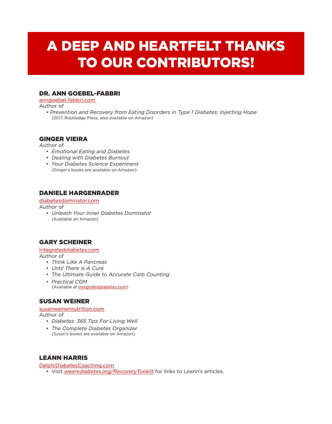# A DEEP AND HEARTFELT THANKS TO OUR CONTRIBUTORS!

#### DR. ANN GOEBEL-FABBRI

[anngoebel-fabbri.com](http://anngoebel-fabbri.com)

Author of

• *Prevention and Recovery from Eating Disorders in Type 1 Diabetes: Injecting Hope* (2017, Routledge Press, also available on Amazon)

#### GINGER VIEIRA

Author of

- *Emotional Eating and Diabetes*
- *Dealing with Diabetes Burnout*
- *Your Diabetes Science Experiment* (Ginger's books are available on Amazon)

## DANIELE HARGENRADER

[diabetesdominator.com](http://diabetesdominator.com)

Author of

• *Unleash Your Inner Diabetes Dominator* (Available on Amazon)

## GARY SCHEINER

[integrateddiabetes.com](http://integrateddiabetes.com)

Author of

- *Think Like A Pancreas*
- *Until There Is A Cure*
- *The Ultimate Guide to Accurate Carb Counting*
- *Practical CGM* (Available at [integrateddiabetes.](http://integrateddiabetes.com)com)

## SUSAN WEINER

## [susanweinernutrition.com](http://susanweinernutrition.com)

Author of

- *Diabetes: 365 Tips For Living Well*
- *The Complete Diabetes Organizer* (Susan's books are available on Amazon)

## LEANN HARRIS

[DelphiDiabetesCoaching.com](http://DelphiDiabetesCoaching.com)

• Visit *wearediabetes.org/RecoveryTooklit* for links to Leann's articles.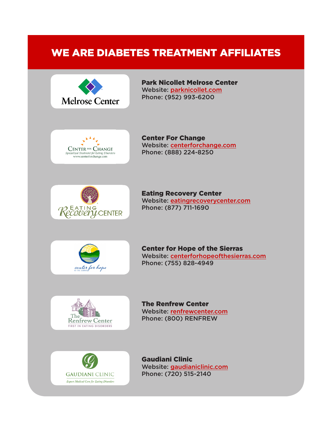# WE ARE DIABETES TREATMENT AFFILIATES



Park Nicollet Melrose Center Website: [parknicollet.com](http://parknicollet.com) Phone: (952) 993-6200



Center For Change Website: [centerforchange.com](http://centerforchange.com) Phone: (888) 224-8250



Eating Recovery Center Website: [eatingrecoverycenter.com](http://eatingrecoverycenter.com) Phone: (877) 711-1690



Center for Hope of the Sierras Website: [centerforhopeofthesierras.com](http://centerforhopeofthesierras.com) Phone: (755) 828-4949



The Renfrew Center Website: [renfrewcenter.com](http://www.renfrewcenter.com) Phone: (800) RENFREW



Gaudiani Clinic Website: [gaudianiclinic.com](http://www.gaudianiclinic.com) Phone: (720) 515-2140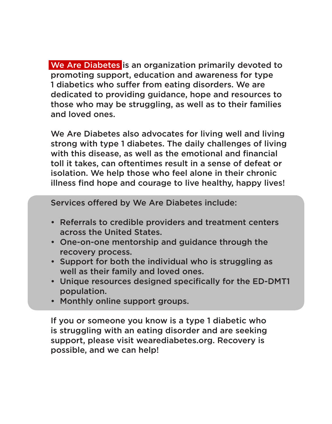We Are Diabetes is an organization primarily devoted to promoting support, education and awareness for type 1 diabetics who suffer from eating disorders. We are dedicated to providing guidance, hope and resources to those who may be struggling, as well as to their families and loved ones.

We Are Diabetes also advocates for living well and living strong with type 1 diabetes. The daily challenges of living with this disease, as well as the emotional and financial toll it takes, can oftentimes result in a sense of defeat or isolation. We help those who feel alone in their chronic illness find hope and courage to live healthy, happy lives!

Services offered by We Are Diabetes include:

- Referrals to credible providers and treatment centers across the United States.
- One-on-one mentorship and guidance through the recovery process.
- Support for both the individual who is struggling as well as their family and loved ones.
- Unique resources designed specifically for the ED-DMT1 population.
- Monthly online support groups.

If you or someone you know is a type 1 diabetic who is struggling with an eating disorder and are seeking support, please visit wearediabetes.org. Recovery is possible, and we can help!